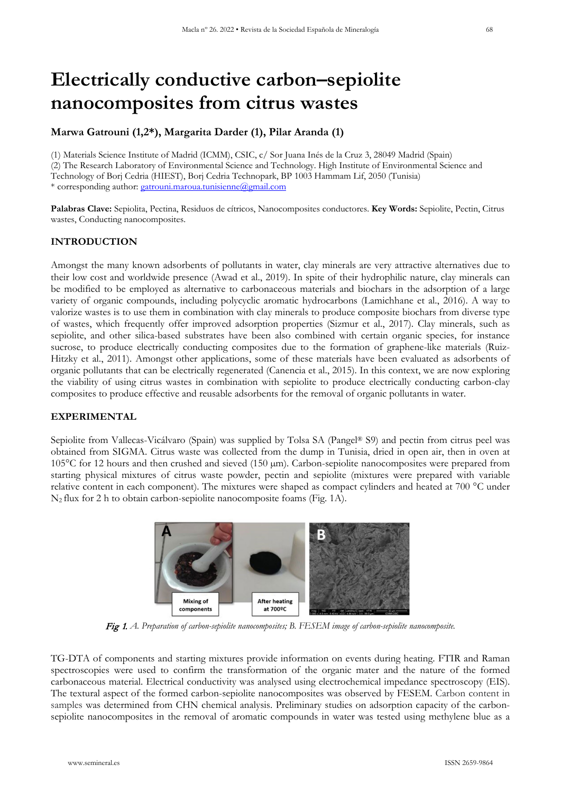# **Electrically conductive carbon–sepiolite nanocomposites from citrus wastes**

# **Marwa Gatrouni (1,2\*), Margarita Darder (1), Pilar Aranda (1)**

(1) Materials Science Institute of Madrid (ICMM), CSIC, c/ Sor Juana Inés de la Cruz 3, 28049 Madrid (Spain) (2) The Research Laboratory of Environmental Science and Technology. High Institute of Environmental Science and Technology of Borj Cedria (HIEST), Borj Cedria Technopark, BP 1003 Hammam Lif, 2050 (Tunisia) \* corresponding author: [gatrouni.maroua.tunisienne@gmail.com](mailto:gatrouni.maroua.tunisienne@gmail.com)

**Palabras Clave:** Sepiolita, Pectina, Residuos de cítricos, Nanocomposites conductores. **Key Words:** Sepiolite, Pectin, Citrus wastes, Conducting nanocomposites.

# **INTRODUCTION**

Amongst the many known adsorbents of pollutants in water, clay minerals are very attractive alternatives due to their low cost and worldwide presence (Awad et al., 2019). In spite of their hydrophilic nature, clay minerals can be modified to be employed as alternative to carbonaceous materials and biochars in the adsorption of a large variety of organic compounds, including polycyclic aromatic hydrocarbons (Lamichhane et al., 2016). A way to valorize wastes is to use them in combination with clay minerals to produce composite biochars from diverse type of wastes, which frequently offer improved adsorption properties (Sizmur et al., 2017). Clay minerals, such as sepiolite, and other silica-based substrates have been also combined with certain organic species, for instance sucrose, to produce electrically conducting composites due to the formation of graphene-like materials (Ruiz-Hitzky et al., 2011). Amongst other applications, some of these materials have been evaluated as adsorbents of organic pollutants that can be electrically regenerated (Canencia et al., 2015). In this context, we are now exploring the viability of using citrus wastes in combination with sepiolite to produce electrically conducting carbon-clay composites to produce effective and reusable adsorbents for the removal of organic pollutants in water.

# **EXPERIMENTAL**

Sepiolite from Vallecas-Vicálvaro (Spain) was supplied by Tolsa SA (Pangel® S9) and pectin from citrus peel was obtained from SIGMA. Citrus waste was collected from the dump in Tunisia, dried in open air, then in oven at 105°C for 12 hours and then crushed and sieved (150 µm). Carbon-sepiolite nanocomposites were prepared from starting physical mixtures of citrus waste powder, pectin and sepiolite (mixtures were prepared with variable relative content in each component). The mixtures were shaped as compact cylinders and heated at 700 °C under N2 flux for 2 h to obtain carbon-sepiolite nanocomposite foams (Fig. 1A).



Fig 1. *A. Preparation of carbon-sepiolite nanocomposites; B. FESEM image of carbon-sepiolite nanocomposite.* 

TG-DTA of components and starting mixtures provide information on events during heating. FTIR and Raman spectroscopies were used to confirm the transformation of the organic mater and the nature of the formed carbonaceous material. Electrical conductivity was analysed using electrochemical impedance spectroscopy (EIS). The textural aspect of the formed carbon-sepiolite nanocomposites was observed by FESEM. Carbon content in samples was determined from CHN chemical analysis. Preliminary studies on adsorption capacity of the carbonsepiolite nanocomposites in the removal of aromatic compounds in water was tested using methylene blue as a